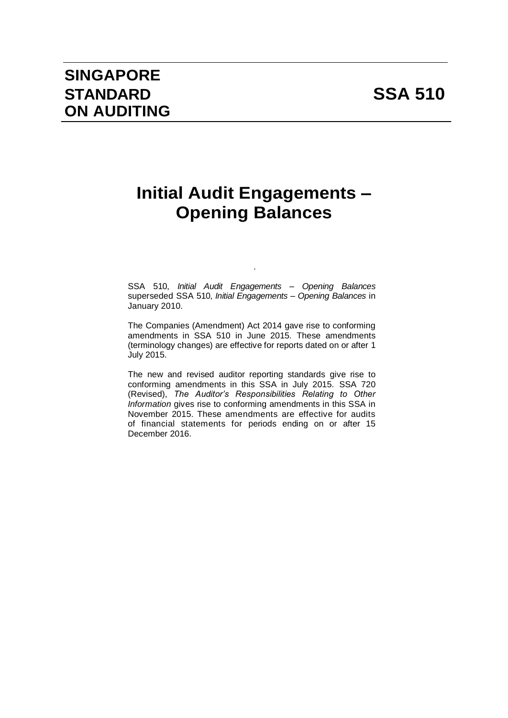# **Initial Audit Engagements – Opening Balances**

SSA 510, *Initial Audit Engagements – Opening Balances* superseded SSA 510, *Initial Engagements – Opening Balances* in January 2010.

.

The Companies (Amendment) Act 2014 gave rise to conforming amendments in SSA 510 in June 2015. These amendments (terminology changes) are effective for reports dated on or after 1 July 2015.

The new and revised auditor reporting standards give rise to conforming amendments in this SSA in July 2015. SSA 720 (Revised), *The Auditor's Responsibilities Relating to Other Information* gives rise to conforming amendments in this SSA in November 2015. These amendments are effective for audits of financial statements for periods ending on or after 15 December 2016.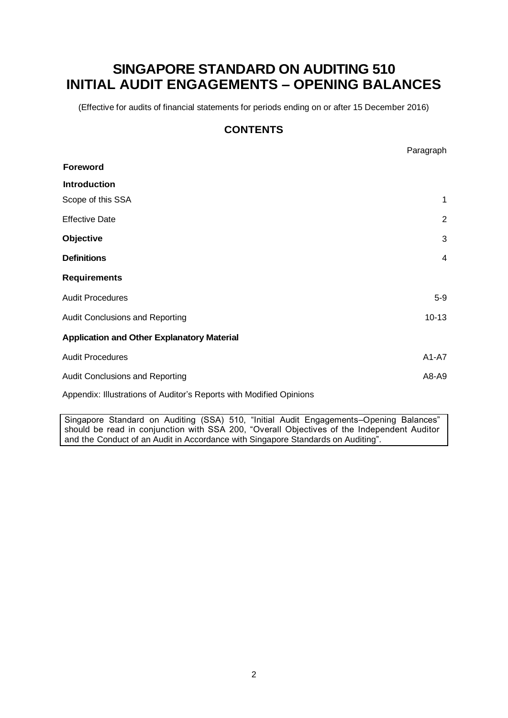## **SINGAPORE STANDARD ON AUDITING 510 INITIAL AUDIT ENGAGEMENTS – OPENING BALANCES**

(Effective for audits of financial statements for periods ending on or after 15 December 2016)

## **CONTENTS**

|                                                                     | Paragraph      |
|---------------------------------------------------------------------|----------------|
| <b>Foreword</b>                                                     |                |
| <b>Introduction</b>                                                 |                |
| Scope of this SSA                                                   | 1              |
| <b>Effective Date</b>                                               | 2              |
| Objective                                                           | 3              |
| <b>Definitions</b>                                                  | $\overline{4}$ |
| <b>Requirements</b>                                                 |                |
| <b>Audit Procedures</b>                                             | $5-9$          |
| Audit Conclusions and Reporting                                     | $10 - 13$      |
| <b>Application and Other Explanatory Material</b>                   |                |
| <b>Audit Procedures</b>                                             | A1-A7          |
| Audit Conclusions and Reporting                                     | A8-A9          |
| Appendix: Illustrations of Auditor's Reports with Modified Opinions |                |

Singapore Standard on Auditing (SSA) 510, "Initial Audit Engagements–Opening Balances" should be read in conjunction with SSA 200, "Overall Objectives of the Independent Auditor and the Conduct of an Audit in Accordance with Singapore Standards on Auditing".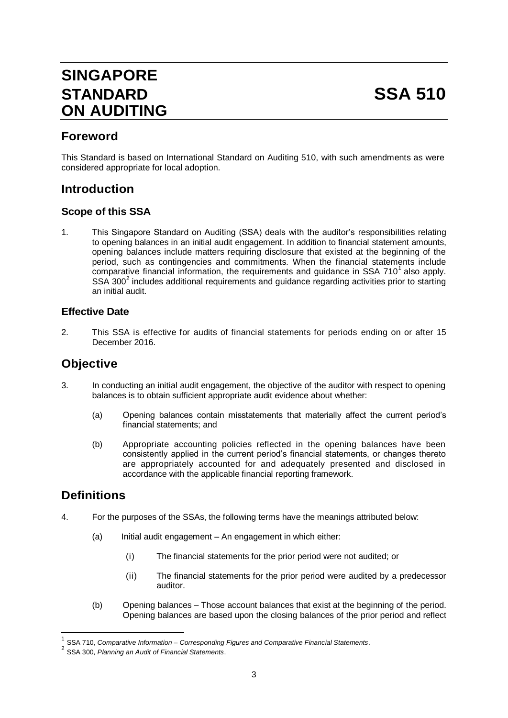# **SINGAPORE STANDARD SSA 510 ON AUDITING**

## **Foreword**

This Standard is based on International Standard on Auditing 510, with such amendments as were considered appropriate for local adoption.

## **Introduction**

## **Scope of this SSA**

1. This Singapore Standard on Auditing (SSA) deals with the auditor's responsibilities relating to opening balances in an initial audit engagement. In addition to financial statement amounts, opening balances include matters requiring disclosure that existed at the beginning of the period, such as contingencies and commitments. When the financial statements include comparative financial information, the requirements and guidance in SSA 710 $^1$  also apply. SSA 300<sup>2</sup> includes additional requirements and guidance regarding activities prior to starting an initial audit.

## **Effective Date**

2. This SSA is effective for audits of financial statements for periods ending on or after 15 December 2016.

## **Objective**

- 3. In conducting an initial audit engagement, the objective of the auditor with respect to opening balances is to obtain sufficient appropriate audit evidence about whether:
	- (a) Opening balances contain misstatements that materially affect the current period's financial statements; and
	- (b) Appropriate accounting policies reflected in the opening balances have been consistently applied in the current period's financial statements, or changes thereto are appropriately accounted for and adequately presented and disclosed in accordance with the applicable financial reporting framework.

## **Definitions**

 $\overline{\phantom{a}}$ 

- 4. For the purposes of the SSAs, the following terms have the meanings attributed below:
	- (a) Initial audit engagement An engagement in which either:
		- (i) The financial statements for the prior period were not audited; or
		- (ii) The financial statements for the prior period were audited by a predecessor auditor.
	- (b) Opening balances Those account balances that exist at the beginning of the period. Opening balances are based upon the closing balances of the prior period and reflect

<sup>1</sup> SSA 710, *Comparative Information – Corresponding Figures and Comparative Financial Statements*.

<sup>2</sup> SSA 300, *Planning an Audit of Financial Statements*.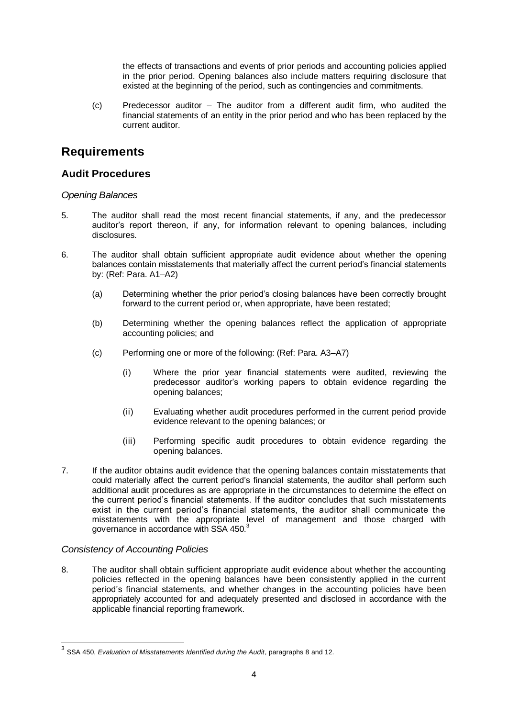the effects of transactions and events of prior periods and accounting policies applied in the prior period. Opening balances also include matters requiring disclosure that existed at the beginning of the period, such as contingencies and commitments.

(c) Predecessor auditor – The auditor from a different audit firm, who audited the financial statements of an entity in the prior period and who has been replaced by the current auditor.

## **Requirements**

## **Audit Procedures**

## *Opening Balances*

- 5. The auditor shall read the most recent financial statements, if any, and the predecessor auditor's report thereon, if any, for information relevant to opening balances, including disclosures.
- 6. The auditor shall obtain sufficient appropriate audit evidence about whether the opening balances contain misstatements that materially affect the current period's financial statements by: (Ref: Para. A1–A2)
	- (a) Determining whether the prior period's closing balances have been correctly brought forward to the current period or, when appropriate, have been restated;
	- (b) Determining whether the opening balances reflect the application of appropriate accounting policies; and
	- (c) Performing one or more of the following: (Ref: Para. A3–A7)
		- (i) Where the prior year financial statements were audited, reviewing the predecessor auditor's working papers to obtain evidence regarding the opening balances;
		- (ii) Evaluating whether audit procedures performed in the current period provide evidence relevant to the opening balances; or
		- (iii) Performing specific audit procedures to obtain evidence regarding the opening balances.
- 7. If the auditor obtains audit evidence that the opening balances contain misstatements that could materially affect the current period's financial statements, the auditor shall perform such additional audit procedures as are appropriate in the circumstances to determine the effect on the current period's financial statements. If the auditor concludes that such misstatements exist in the current period's financial statements, the auditor shall communicate the misstatements with the appropriate level of management and those charged with governance in accordance with SSA 450.<sup>3</sup>

## *Consistency of Accounting Policies*

8. The auditor shall obtain sufficient appropriate audit evidence about whether the accounting policies reflected in the opening balances have been consistently applied in the current period's financial statements, and whether changes in the accounting policies have been appropriately accounted for and adequately presented and disclosed in accordance with the applicable financial reporting framework.

 3 SSA 450, *Evaluation of Misstatements Identified during the Audit*, paragraphs 8 and 12.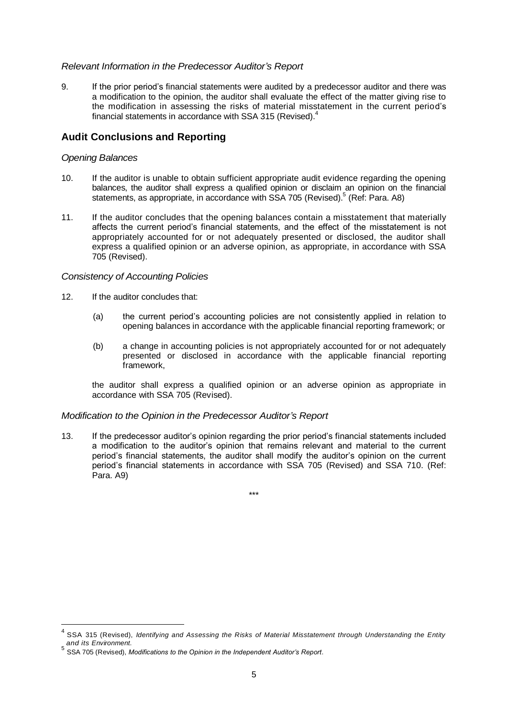### *Relevant Information in the Predecessor Auditor's Report*

9. If the prior period's financial statements were audited by a predecessor auditor and there was a modification to the opinion, the auditor shall evaluate the effect of the matter giving rise to the modification in assessing the risks of material misstatement in the current period's financial statements in accordance with SSA 315 (Revised).<sup>4</sup>

## **Audit Conclusions and Reporting**

#### *Opening Balances*

**.** 

- 10. If the auditor is unable to obtain sufficient appropriate audit evidence regarding the opening balances, the auditor shall express a qualified opinion or disclaim an opinion on the financial statements, as appropriate, in accordance with SSA 705 (Revised).<sup>5</sup> (Ref: Para. A8)
- 11. If the auditor concludes that the opening balances contain a misstatement that materially affects the current period's financial statements, and the effect of the misstatement is not appropriately accounted for or not adequately presented or disclosed, the auditor shall express a qualified opinion or an adverse opinion, as appropriate, in accordance with SSA 705 (Revised).

#### *Consistency of Accounting Policies*

- 12. If the auditor concludes that:
	- (a) the current period's accounting policies are not consistently applied in relation to opening balances in accordance with the applicable financial reporting framework; or
	- (b) a change in accounting policies is not appropriately accounted for or not adequately presented or disclosed in accordance with the applicable financial reporting framework,

the auditor shall express a qualified opinion or an adverse opinion as appropriate in accordance with SSA 705 (Revised).

### *Modification to the Opinion in the Predecessor Auditor's Report*

13. If the predecessor auditor's opinion regarding the prior period's financial statements included a modification to the auditor's opinion that remains relevant and material to the current period's financial statements, the auditor shall modify the auditor's opinion on the current period's financial statements in accordance with SSA 705 (Revised) and SSA 710. (Ref: Para. A9)

<sup>\*\*\*</sup>

<sup>4</sup> SSA 315 (Revised), *Identifying and Assessing the Risks of Material Misstatement through Understanding the Entity and its Environment*.

<sup>5</sup> SSA 705 (Revised), *Modifications to the Opinion in the Independent Auditor's Report*.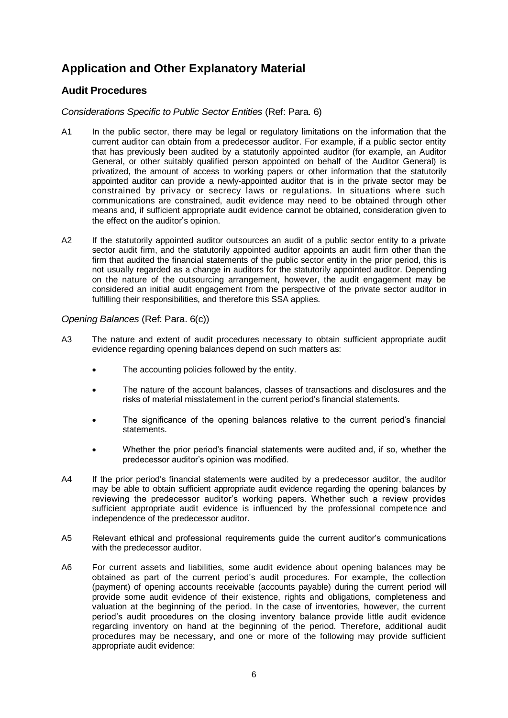## **Application and Other Explanatory Material**

## **Audit Procedures**

### *Considerations Specific to Public Sector Entities* (Ref: Para. 6)

- A1 In the public sector, there may be legal or regulatory limitations on the information that the current auditor can obtain from a predecessor auditor. For example, if a public sector entity that has previously been audited by a statutorily appointed auditor (for example, an Auditor General, or other suitably qualified person appointed on behalf of the Auditor General) is privatized, the amount of access to working papers or other information that the statutorily appointed auditor can provide a newly-appointed auditor that is in the private sector may be constrained by privacy or secrecy laws or regulations. In situations where such communications are constrained, audit evidence may need to be obtained through other means and, if sufficient appropriate audit evidence cannot be obtained, consideration given to the effect on the auditor's opinion.
- A2 If the statutorily appointed auditor outsources an audit of a public sector entity to a private sector audit firm, and the statutorily appointed auditor appoints an audit firm other than the firm that audited the financial statements of the public sector entity in the prior period, this is not usually regarded as a change in auditors for the statutorily appointed auditor. Depending on the nature of the outsourcing arrangement, however, the audit engagement may be considered an initial audit engagement from the perspective of the private sector auditor in fulfilling their responsibilities, and therefore this SSA applies.

## *Opening Balances* (Ref: Para. 6(c))

- A3 The nature and extent of audit procedures necessary to obtain sufficient appropriate audit evidence regarding opening balances depend on such matters as:
	- The accounting policies followed by the entity.
	- The nature of the account balances, classes of transactions and disclosures and the risks of material misstatement in the current period's financial statements.
	- The significance of the opening balances relative to the current period's financial statements.
	- Whether the prior period's financial statements were audited and, if so, whether the predecessor auditor's opinion was modified.
- A4 If the prior period's financial statements were audited by a predecessor auditor, the auditor may be able to obtain sufficient appropriate audit evidence regarding the opening balances by reviewing the predecessor auditor's working papers. Whether such a review provides sufficient appropriate audit evidence is influenced by the professional competence and independence of the predecessor auditor.
- A5 Relevant ethical and professional requirements guide the current auditor's communications with the predecessor auditor.
- A6 For current assets and liabilities, some audit evidence about opening balances may be obtained as part of the current period's audit procedures. For example, the collection (payment) of opening accounts receivable (accounts payable) during the current period will provide some audit evidence of their existence, rights and obligations, completeness and valuation at the beginning of the period. In the case of inventories, however, the current period's audit procedures on the closing inventory balance provide little audit evidence regarding inventory on hand at the beginning of the period. Therefore, additional audit procedures may be necessary, and one or more of the following may provide sufficient appropriate audit evidence: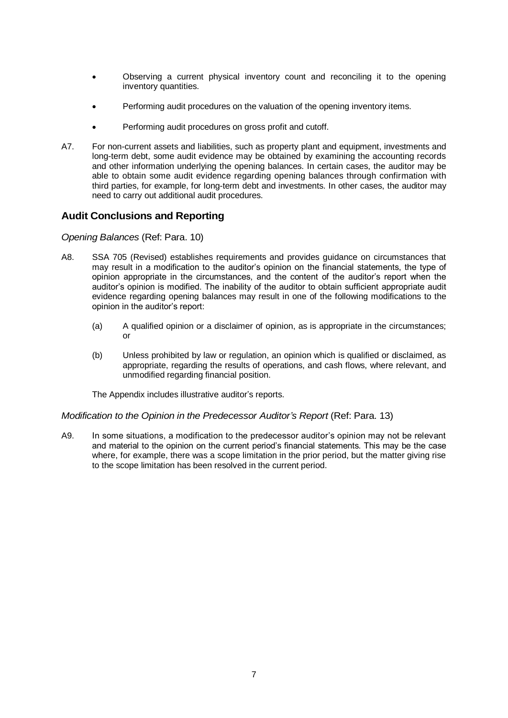- Observing a current physical inventory count and reconciling it to the opening inventory quantities.
- Performing audit procedures on the valuation of the opening inventory items.
- Performing audit procedures on gross profit and cutoff.
- A7. For non-current assets and liabilities, such as property plant and equipment, investments and long-term debt, some audit evidence may be obtained by examining the accounting records and other information underlying the opening balances. In certain cases, the auditor may be able to obtain some audit evidence regarding opening balances through confirmation with third parties, for example, for long-term debt and investments. In other cases, the auditor may need to carry out additional audit procedures.

## **Audit Conclusions and Reporting**

*Opening Balances* (Ref: Para. 10)

- A8. SSA 705 (Revised) establishes requirements and provides guidance on circumstances that may result in a modification to the auditor's opinion on the financial statements, the type of opinion appropriate in the circumstances, and the content of the auditor's report when the auditor's opinion is modified. The inability of the auditor to obtain sufficient appropriate audit evidence regarding opening balances may result in one of the following modifications to the opinion in the auditor's report:
	- (a) A qualified opinion or a disclaimer of opinion, as is appropriate in the circumstances; or
	- (b) Unless prohibited by law or regulation, an opinion which is qualified or disclaimed, as appropriate, regarding the results of operations, and cash flows, where relevant, and unmodified regarding financial position.

The Appendix includes illustrative auditor's reports.

### *Modification to the Opinion in the Predecessor Auditor's Report* (Ref: Para. 13)

A9. In some situations, a modification to the predecessor auditor's opinion may not be relevant and material to the opinion on the current period's financial statements. This may be the case where, for example, there was a scope limitation in the prior period, but the matter giving rise to the scope limitation has been resolved in the current period.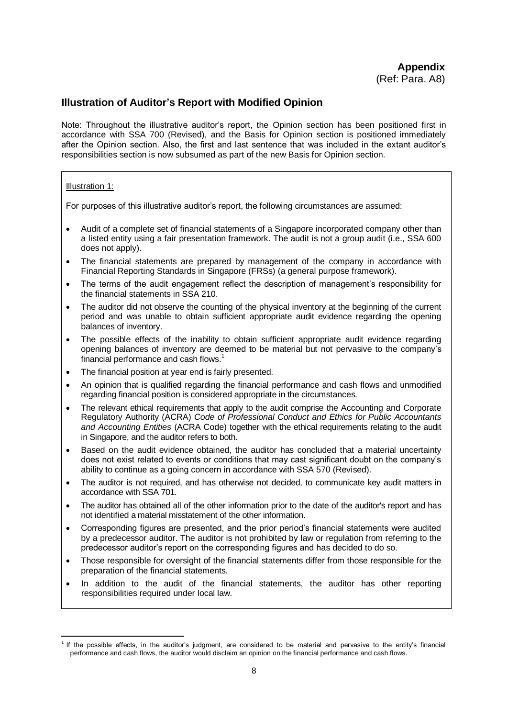## **Illustration of Auditor's Report with Modified Opinion**

Note: Throughout the illustrative auditor's report, the Opinion section has been positioned first in accordance with SSA 700 (Revised), and the Basis for Opinion section is positioned immediately after the Opinion section. Also, the first and last sentence that was included in the extant auditor's responsibilities section is now subsumed as part of the new Basis for Opinion section.

### Illustration 1:

1

For purposes of this illustrative auditor's report, the following circumstances are assumed:

- Audit of a complete set of financial statements of a Singapore incorporated company other than a listed entity using a fair presentation framework. The audit is not a group audit (i.e., SSA 600 does not apply).
- The financial statements are prepared by management of the company in accordance with Financial Reporting Standards in Singapore (FRSs) (a general purpose framework).
- The terms of the audit engagement reflect the description of management's responsibility for the financial statements in SSA 210.
- The auditor did not observe the counting of the physical inventory at the beginning of the current period and was unable to obtain sufficient appropriate audit evidence regarding the opening balances of inventory.
- The possible effects of the inability to obtain sufficient appropriate audit evidence regarding opening balances of inventory are deemed to be material but not pervasive to the company's financial performance and cash flows.<sup>1</sup>
- The financial position at year end is fairly presented.
- An opinion that is qualified regarding the financial performance and cash flows and unmodified regarding financial position is considered appropriate in the circumstances.
- The relevant ethical requirements that apply to the audit comprise the Accounting and Corporate Regulatory Authority (ACRA) *Code of Professional Conduct and Ethics for Public Accountants and Accounting Entities* (ACRA Code) together with the ethical requirements relating to the audit in Singapore, and the auditor refers to both.
- Based on the audit evidence obtained, the auditor has concluded that a material uncertainty does not exist related to events or conditions that may cast significant doubt on the company's ability to continue as a going concern in accordance with SSA 570 (Revised).
- The auditor is not required, and has otherwise not decided, to communicate key audit matters in accordance with SSA 701.
- The auditor has obtained all of the other information prior to the date of the auditor's report and has not identified a material misstatement of the other information.
- Corresponding figures are presented, and the prior period's financial statements were audited by a predecessor auditor. The auditor is not prohibited by law or regulation from referring to the predecessor auditor's report on the corresponding figures and has decided to do so.
- Those responsible for oversight of the financial statements differ from those responsible for the preparation of the financial statements.
- In addition to the audit of the financial statements, the auditor has other reporting responsibilities required under local law.

<sup>&</sup>lt;sup>1</sup> If the possible effects, in the auditor's judgment, are considered to be material and pervasive to the entity's financial performance and cash flows, the auditor would disclaim an opinion on the financial performance and cash flows.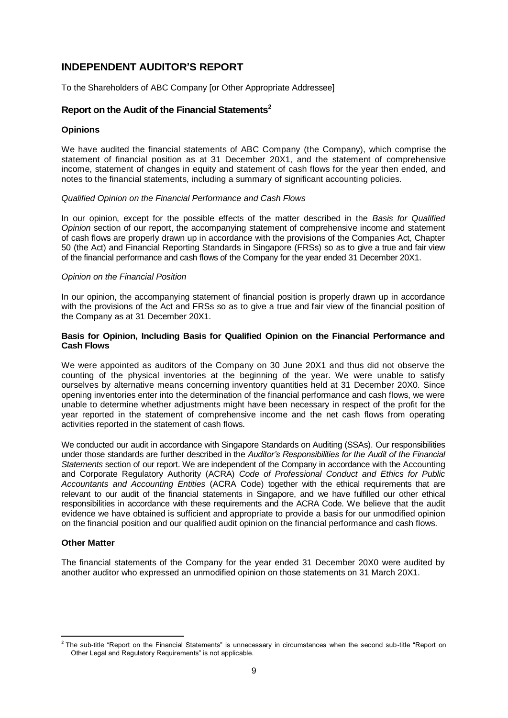## **INDEPENDENT AUDITOR'S REPORT**

To the Shareholders of ABC Company [or Other Appropriate Addressee]

#### **Report on the Audit of the Financial Statements<sup>2</sup>**

#### **Opinions**

We have audited the financial statements of ABC Company (the Company), which comprise the statement of financial position as at 31 December 20X1, and the statement of comprehensive income, statement of changes in equity and statement of cash flows for the year then ended, and notes to the financial statements, including a summary of significant accounting policies.

#### *Qualified Opinion on the Financial Performance and Cash Flows*

In our opinion, except for the possible effects of the matter described in the *Basis for Qualified Opinion* section of our report, the accompanying statement of comprehensive income and statement of cash flows are properly drawn up in accordance with the provisions of the Companies Act, Chapter 50 (the Act) and Financial Reporting Standards in Singapore (FRSs) so as to give a true and fair view of the financial performance and cash flows of the Company for the year ended 31 December 20X1.

#### *Opinion on the Financial Position*

In our opinion, the accompanying statement of financial position is properly drawn up in accordance with the provisions of the Act and FRSs so as to give a true and fair view of the financial position of the Company as at 31 December 20X1.

#### **Basis for Opinion, Including Basis for Qualified Opinion on the Financial Performance and Cash Flows**

We were appointed as auditors of the Company on 30 June 20X1 and thus did not observe the counting of the physical inventories at the beginning of the year. We were unable to satisfy ourselves by alternative means concerning inventory quantities held at 31 December 20X0. Since opening inventories enter into the determination of the financial performance and cash flows, we were unable to determine whether adjustments might have been necessary in respect of the profit for the year reported in the statement of comprehensive income and the net cash flows from operating activities reported in the statement of cash flows.

We conducted our audit in accordance with Singapore Standards on Auditing (SSAs). Our responsibilities under those standards are further described in the *Auditor's Responsibilities for the Audit of the Financial Statements* section of our report. We are independent of the Company in accordance with the Accounting and Corporate Regulatory Authority (ACRA) *Code of Professional Conduct and Ethics for Public Accountants and Accounting Entities* (ACRA Code) together with the ethical requirements that are relevant to our audit of the financial statements in Singapore, and we have fulfilled our other ethical responsibilities in accordance with these requirements and the ACRA Code. We believe that the audit evidence we have obtained is sufficient and appropriate to provide a basis for our unmodified opinion on the financial position and our qualified audit opinion on the financial performance and cash flows.

#### **Other Matter**

The financial statements of the Company for the year ended 31 December 20X0 were audited by another auditor who expressed an unmodified opinion on those statements on 31 March 20X1.

 2 The sub-title "Report on the Financial Statements" is unnecessary in circumstances when the second sub-title "Report on Other Legal and Regulatory Requirements" is not applicable.